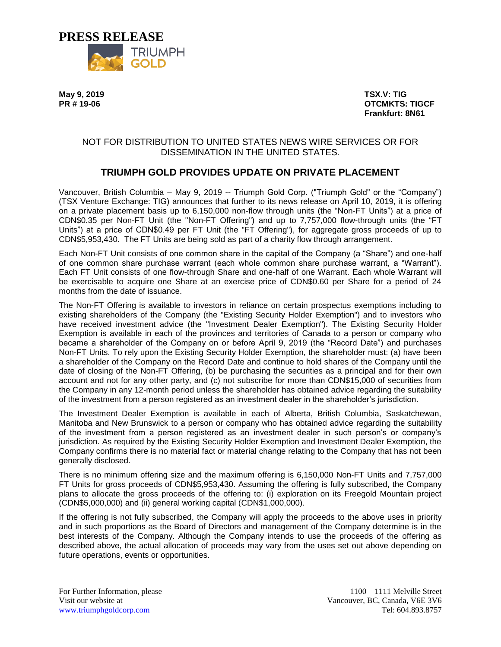

**May 9, 2019 TSX.V: TIG PR # 19-06 OTCMKTS: TIGCF Frankfurt: 8N61**

## NOT FOR DISTRIBUTION TO UNITED STATES NEWS WIRE SERVICES OR FOR DISSEMINATION IN THE UNITED STATES.

# **TRIUMPH GOLD PROVIDES UPDATE ON PRIVATE PLACEMENT**

Vancouver, British Columbia – May 9, 2019 -- Triumph Gold Corp. ("Triumph Gold" or the "Company") (TSX Venture Exchange: TIG) announces that further to its news release on April 10, 2019, it is offering on a private placement basis up to 6,150,000 non-flow through units (the "Non-FT Units") at a price of CDN\$0.35 per Non-FT Unit (the "Non-FT Offering") and up to 7,757,000 flow-through units (the "FT Units") at a price of CDN\$0.49 per FT Unit (the "FT Offering"), for aggregate gross proceeds of up to CDN\$5,953,430. The FT Units are being sold as part of a charity flow through arrangement.

Each Non-FT Unit consists of one common share in the capital of the Company (a "Share") and one-half of one common share purchase warrant (each whole common share purchase warrant, a "Warrant"). Each FT Unit consists of one flow-through Share and one-half of one Warrant. Each whole Warrant will be exercisable to acquire one Share at an exercise price of CDN\$0.60 per Share for a period of 24 months from the date of issuance.

The Non-FT Offering is available to investors in reliance on certain prospectus exemptions including to existing shareholders of the Company (the "Existing Security Holder Exemption") and to investors who have received investment advice (the "Investment Dealer Exemption"). The Existing Security Holder Exemption is available in each of the provinces and territories of Canada to a person or company who became a shareholder of the Company on or before April 9, 2019 (the "Record Date") and purchases Non-FT Units. To rely upon the Existing Security Holder Exemption, the shareholder must: (a) have been a shareholder of the Company on the Record Date and continue to hold shares of the Company until the date of closing of the Non-FT Offering, (b) be purchasing the securities as a principal and for their own account and not for any other party, and (c) not subscribe for more than CDN\$15,000 of securities from the Company in any 12-month period unless the shareholder has obtained advice regarding the suitability of the investment from a person registered as an investment dealer in the shareholder's jurisdiction.

The Investment Dealer Exemption is available in each of Alberta, British Columbia, Saskatchewan, Manitoba and New Brunswick to a person or company who has obtained advice regarding the suitability of the investment from a person registered as an investment dealer in such person's or company's jurisdiction. As required by the Existing Security Holder Exemption and Investment Dealer Exemption, the Company confirms there is no material fact or material change relating to the Company that has not been generally disclosed.

There is no minimum offering size and the maximum offering is 6,150,000 Non-FT Units and 7,757,000 FT Units for gross proceeds of CDN\$5,953,430. Assuming the offering is fully subscribed, the Company plans to allocate the gross proceeds of the offering to: (i) exploration on its Freegold Mountain project (CDN\$5,000,000) and (ii) general working capital (CDN\$1,000,000).

If the offering is not fully subscribed, the Company will apply the proceeds to the above uses in priority and in such proportions as the Board of Directors and management of the Company determine is in the best interests of the Company. Although the Company intends to use the proceeds of the offering as described above, the actual allocation of proceeds may vary from the uses set out above depending on future operations, events or opportunities.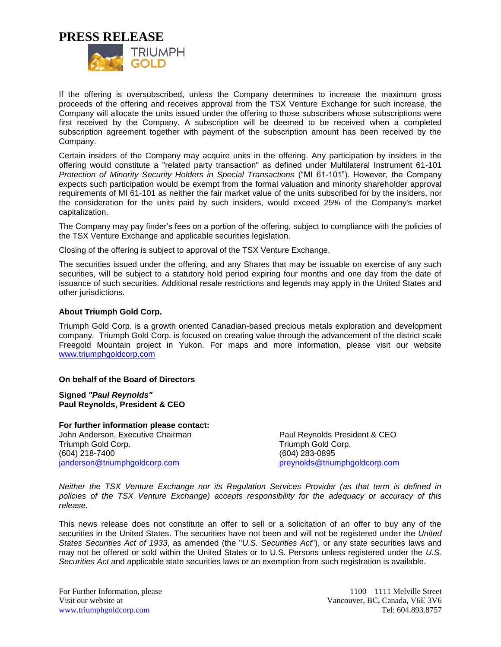**PRESS RELEASE**



If the offering is oversubscribed, unless the Company determines to increase the maximum gross proceeds of the offering and receives approval from the TSX Venture Exchange for such increase, the Company will allocate the units issued under the offering to those subscribers whose subscriptions were first received by the Company. A subscription will be deemed to be received when a completed subscription agreement together with payment of the subscription amount has been received by the Company.

Certain insiders of the Company may acquire units in the offering. Any participation by insiders in the offering would constitute a "related party transaction" as defined under Multilateral Instrument 61-101 *Protection of Minority Security Holders in Special Transactions* ("MI 61-101"). However, the Company expects such participation would be exempt from the formal valuation and minority shareholder approval requirements of MI 61-101 as neither the fair market value of the units subscribed for by the insiders, nor the consideration for the units paid by such insiders, would exceed 25% of the Company's market capitalization.

The Company may pay finder's fees on a portion of the offering, subject to compliance with the policies of the TSX Venture Exchange and applicable securities legislation.

Closing of the offering is subject to approval of the TSX Venture Exchange.

The securities issued under the offering, and any Shares that may be issuable on exercise of any such securities, will be subject to a statutory hold period expiring four months and one day from the date of issuance of such securities. Additional resale restrictions and legends may apply in the United States and other jurisdictions.

#### **About Triumph Gold Corp.**

Triumph Gold Corp. is a growth oriented Canadian-based precious metals exploration and development company. Triumph Gold Corp. is focused on creating value through the advancement of the district scale Freegold Mountain project in Yukon. For maps and more information, please visit our website [www.triumphgoldcorp.com](http://www.triumphgoldcorp.com/)

#### **On behalf of the Board of Directors**

**Signed** *"Paul Reynolds"* **Paul Reynolds, President & CEO**

**For further information please contact:** John Anderson, Executive Chairman Triumph Gold Corp. (604) 218-7400 [janderson@triumphgoldcorp.com](mailto:janderson@triumphgoldcorp.com)

Paul Reynolds President & CEO Triumph Gold Corp. (604) 283-0895 [preynolds@triumphgoldcorp.com](mailto:preynolds@triumphgoldcorp.com)

*Neither the TSX Venture Exchange nor its Regulation Services Provider (as that term is defined in policies of the TSX Venture Exchange) accepts responsibility for the adequacy or accuracy of this release.*

This news release does not constitute an offer to sell or a solicitation of an offer to buy any of the securities in the United States. The securities have not been and will not be registered under the *United States Securities Act of 1933*, as amended (the "*U.S. Securities Act*"), or any state securities laws and may not be offered or sold within the United States or to U.S. Persons unless registered under the *U.S. Securities Act* and applicable state securities laws or an exemption from such registration is available.

For Further Information, please 1100 – 1111 Melville Street Visit our website at Vancouver, BC, Canada, V6E 3V6 [www.triumphgoldcorp.com](http://www.triumphgoldcorp.com/) Tel: 604.893.8757